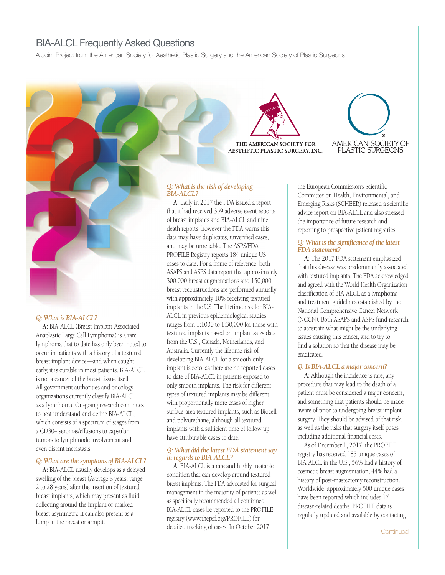# BIA-ALCL Frequently Asked Questions

A Joint Project from the American Society for Aesthetic Plastic Surgery and the American Society of Plastic Surgeons



#### *Q: What is BIA-ALCL?*

**A:** BIA-ALCL (Breast Implant-Associated Anaplastic Large Cell Lymphoma) is a rare lymphoma that to date has only been noted to occur in patients with a history of a textured breast implant device—and when caught early, it is curable in most patients. BIA-ALCL is not a cancer of the breast tissue itself. All government authorities and oncology organizations currently classify BIA-ALCL as a lymphoma. On-going research continues to best understand and define BIA-ALCL, which consists of a spectrum of stages from a CD30+ seromas/effusions to capsular tumors to lymph node involvement and even distant metastasis.

#### *Q: What are the symptoms of BIA-ALCL?*

**A:** BIA-ALCL usually develops as a delayed swelling of the breast (Average 8 years, range 2 to 28 years) after the insertion of textured breast implants, which may present as fluid collecting around the implant or marked breast asymmetry. It can also present as a lump in the breast or armpit.

THE AMERICAN SOCIETY FOR AESTHETIC PLASTIC SURGERY, INC.



#### *Q: What isthe risk of developing BIA-ALCL?*

**A:** Early in 2017 the FDA issued a report that it had received 359 adverse event reports of breast implants and BIA-ALCL and nine death reports, however the FDA warns this data may have duplicates, unverified cases, and may be unreliable. The ASPS/FDA PROFILE Registry reports 184 unique US cases to date. For a frame of reference, both ASAPS and ASPS data report that approximately 300,000 breast augmentations and 150,000 breast reconstructions are performed annually with approximately 10% receiving textured implants in the US. The lifetime risk for BIA-ALCL in previous epidemiological studies ranges from 1:1000 to 1:30,000 for those with textured implants based on implant sales data from the U.S., Canada, Netherlands, and Australia. Currently the lifetime risk of developing BIA-ALCL for a smooth-only implant is zero, as there are no reported cases to date of BIA-ALCL in patients exposed to only smooth implants. The risk for different types of textured implants may be different with proportionally more cases of higher surface-area textured implants, such as Biocell and polyurethane, although all textured implants with a sufficient time of follow up have attributable cases to date.

#### *Q: What did the latest FDA statement say in regards to BIA-ALCL?*

**A:** BIA-ALCL is a rare and highly treatable condition that can develop around textured breast implants. The FDA advocated for surgical management in the majority of patients as well as specifically recommended all confirmed BIA-ALCL cases be reported to the PROFILE registry (www.thepsf.org/PROFILE) for detailed tracking of cases. In October 2017,

the European Commission's Scientific Committee on Health, Environmental, and Emerging Risks (SCHEER) released a scientific advice report on BIA-ALCL and also stressed the importance of future research and reporting to prospective patient registries.

#### *Q: What isthe significance of the latest* **FDA** statement?

**A:** The 2017 FDA statement emphasized that this disease was predominantly associated with textured implants. The FDA acknowledged and agreed with the World Health Organization classification of BIA-ALCL as a lymphoma and treatment guidelines established by the National Comprehensive Cancer Network (NCCN). Both ASAPS and ASPS fund research to ascertain what might be the underlying issues causing this cancer, and to try to find a solution so that the disease may be eradicated.

## *Q:Is BIA-ALCL a major concern?*

**A:** Although the incidence is rare, any procedure that may lead to the death of a patient must be considered a major concern, and something that patients should be made aware of prior to undergoing breast implant surgery. They should be advised of that risk, as well as the risks that surgery itself poses including additional financial costs.

As of December 1, 2017, the PROFILE registry has received 183 unique cases of BIA-ALCL in the U.S., 56% had a history of cosmetic breast augmentation; 44% had a history of post-mastectomy reconstruction. Worldwide, approximately 500 unique cases have been reported which includes 17 disease-related deaths. PROFILE data is regularly updated and available by contacting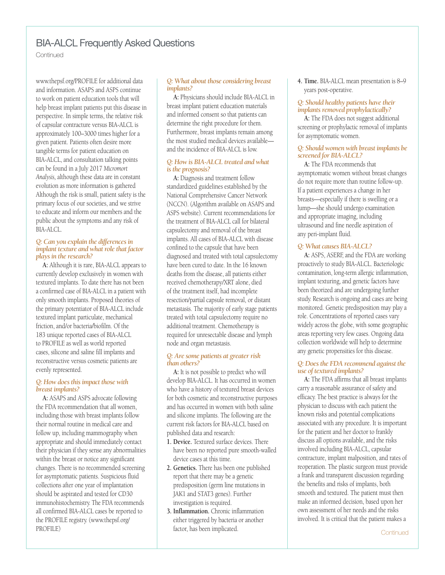# BIA-ALCL Frequently Asked Questions

Continued

www.thepsf.org/PROFILE for additional data and information. ASAPS and ASPS continue to work on patient education tools that will help breast implant patients put this disease in perspective. In simple terms, the relative risk of capsular contracture versus BIA-ALCL is approximately 100–3000 times higher for a given patient. Patients often desire more tangible terms for patient education on BIA-ALCL, and consultation talking points can be found in a July 2017 *Micromort Analysis,* although these data are in constant evolution as more information is gathered Although the risk is small, patient safety is the primary focus of our societies, and we strive to educate and inform our members and the public about the symptoms and any risk of BIA-ALCL.

#### *Q:Can you explain the differencesin implant texture andwhat role that factor playsin the research?*

**A:** Although it is rare, BIA-ALCL appears to currently develop exclusively in women with textured implants. To date there has not been a confirmed case of BIA-ALCL in a patient with only smooth implants. Proposed theories of the primary potentiator of BIA-ALCL include textured implant particulate, mechanical friction, and/or bacteria/biofilm. Of the 183 unique reported cases of BIA-ALCL to PROFILE as well as world reported cases, silicone and saline fill implants and reconstructive versus cosmetic patients are evenly represented.

## *Q: Howdoesthisimpact thosewith breast implants?*

**A:** ASAPS and ASPS advocate following the FDA recommendation that all women, including those with breast implants follow their normal routine in medical care and follow up, including mammography when appropriate and should immediately contact their physician if they sense any abnormalities within the breast or notice any significant changes. There is no recommended screening for asymptomatic patients. Suspicious fluid collections after one year of implantation should be aspirated and tested for CD30 immunohistochemistry. The FDA recommends all confirmed BIA-ALCL cases be reported to the PROFILE registry. (www.thepsf.org/ PROFILE)

## *Q: What about those considering breast implants?*

**A:** Physicians should include BIA-ALCL in breast implant patient education materials and informed consent so that patients can determine the right procedure for them. Furthermore, breast implants remain among the most studied medical devices available and the incidence of BIA-ALCL is low.

# *Q: Howis BIA-ALCL treated andwhat isthe prognosis?*

**A:** Diagnosis and treatment follow standardized guidelines established by the National Comprehensive Cancer Network (NCCN). (Algorithm available on ASAPS and ASPS website). Current recommendations for the treatment of BIA-ALCL call for bilateral capsulectomy and removal of the breast implants. All cases of BIA-ALCL with disease confined to the capsule that have been diagnosed and treated with total capsulectomy have been cured to date. In the 16 known deaths from the disease, all patients either received chemotherapy/XRT alone, died of the treatment itself, had incomplete resection/partial capsule removal, or distant metastasis. The majority of early stage patients treated with total capsulectomy require no additional treatment. Chemotherapy is required for unresectable disease and lymph node and organ metastasis.

#### *Q:Are some patients at greater risk than others?*

**A:** It is not possible to predict who will develop BIA-ALCL. It has occurred in women who have a history of textured breast devices for both cosmetic and reconstructive purposes and has occurred in women with both saline and silicone implants. The following are the current risk factors for BIA-ALCL based on published data and research:

- **1. Device.** Textured surface devices. There have been no reported pure smooth-walled device cases at this time.
- **2. Genetics.** There has been one published report that there may be a genetic predisposition (germ line mutations in JAK1 and STAT3 genes). Further investigation is required.
- **3. Inflammation.** Chronic inflammation either triggered by bacteria or another factor, has been implicated.

**4. Time.** BIA-ALCL mean presentation is 8–9 years post-operative.

# *Q: Should healthy patients have their implants removed prophylactically?*

**A:** The FDA does not suggest additional screening or prophylactic removal of implants for asymptomatic women.

## *Q: Shouldwomenwith breast implants be screened for BIA-ALCL?*

**A:** The FDA recommends that asymptomatic women without breast changes do not require more than routine follow-up. If a patient experiences a change in her breasts—especially if there is swelling or a lump—she should undergo examination and appropriate imaging, including ultrasound and fine needle aspiration of any peri-implant fluid.

# *Q: What causes BIA-ALCL?*

**A:** ASPS, ASERF, and the FDA are working proactively to study BIA-ALCL. Bacteriologic contamination, long-term allergic inflammation, implant texturing, and genetic factors have been theorized and are undergoing further study. Research is ongoing and cases are being monitored. Genetic predisposition may play a role. Concentrations of reported cases vary widely across the globe, with some geographic areas reporting very few cases. Ongoing data collection worldwide will help to determine any genetic propensities for this disease.

## *Q: Doesthe FDArecommend against the use of textured implants?*

**A:** The FDA affirms that all breast implants carry a reasonable assurance of safety and efficacy. The best practice is always for the physician to discuss with each patient the known risks and potential complications associated with any procedure. It is important for the patient and her doctor to frankly discuss all options available, and the risks involved including BIA-ALCL, capsular contracture, implant malposition, and rates of reoperation. The plastic surgeon must provide a frank and transparent discussion regarding the benefits and risks of implants, both smooth and textured. The patient must then make an informed decision, based upon her own assessment of her needs and the risks involved. It is critical that the patient makes a